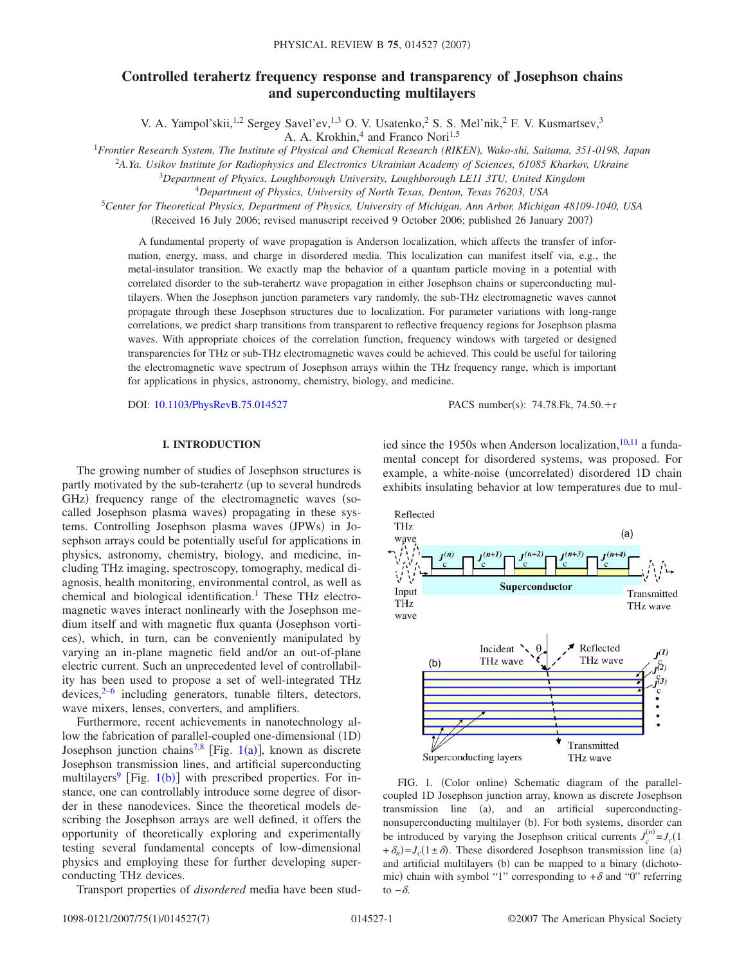# **Controlled terahertz frequency response and transparency of Josephson chains and superconducting multilayers**

V. A. Yampol'skii,<sup>1,2</sup> Sergey Savel'ev,<sup>1,3</sup> O. V. Usatenko,<sup>2</sup> S. S. Mel'nik,<sup>2</sup> F. V. Kusmartsev,<sup>3</sup>

A. A. Krokhin,<sup>4</sup> and Franco Nori<sup>1,5</sup>

1 *Frontier Research System, The Institute of Physical and Chemical Research (RIKEN), Wako-shi, Saitama, 351-0198, Japan*

<sup>2</sup>*A.Ya. Usikov Institute for Radiophysics and Electronics Ukrainian Academy of Sciences, 61085 Kharkov, Ukraine*

<sup>3</sup>*Department of Physics, Loughborough University, Loughborough LE11 3TU, United Kingdom*

<sup>4</sup>*Department of Physics, University of North Texas, Denton, Texas 76203, USA*

<sup>5</sup>*Center for Theoretical Physics, Department of Physics, University of Michigan, Ann Arbor, Michigan 48109-1040, USA* (Received 16 July 2006; revised manuscript received 9 October 2006; published 26 January 2007)

A fundamental property of wave propagation is Anderson localization, which affects the transfer of information, energy, mass, and charge in disordered media. This localization can manifest itself via, e.g., the metal-insulator transition. We exactly map the behavior of a quantum particle moving in a potential with correlated disorder to the sub-terahertz wave propagation in either Josephson chains or superconducting multilayers. When the Josephson junction parameters vary randomly, the sub-THz electromagnetic waves cannot propagate through these Josephson structures due to localization. For parameter variations with long-range correlations, we predict sharp transitions from transparent to reflective frequency regions for Josephson plasma waves. With appropriate choices of the correlation function, frequency windows with targeted or designed transparencies for THz or sub-THz electromagnetic waves could be achieved. This could be useful for tailoring the electromagnetic wave spectrum of Josephson arrays within the THz frequency range, which is important for applications in physics, astronomy, chemistry, biology, and medicine.

DOI: [10.1103/PhysRevB.75.014527](http://dx.doi.org/10.1103/PhysRevB.75.014527)

PACS number(s): 74.78.Fk, 74.50. $+r$ 

# **I. INTRODUCTION**

The growing number of studies of Josephson structures is partly motivated by the sub-terahertz (up to several hundreds GHz) frequency range of the electromagnetic waves (socalled Josephson plasma waves) propagating in these systems. Controlling Josephson plasma waves (JPWs) in Josephson arrays could be potentially useful for applications in physics, astronomy, chemistry, biology, and medicine, including THz imaging, spectroscopy, tomography, medical diagnosis, health monitoring, environmental control, as well as chemical and biological identification.<sup>1</sup> These THz electromagnetic waves interact nonlinearly with the Josephson medium itself and with magnetic flux quanta Josephson vortices), which, in turn, can be conveniently manipulated by varying an in-plane magnetic field and/or an out-of-plane electric current. Such an unprecedented level of controllability has been used to propose a set of well-integrated THz devices, $2^{-6}$  $2^{-6}$  $2^{-6}$  including generators, tunable filters, detectors, wave mixers, lenses, converters, and amplifiers.

Furthermore, recent achievements in nanotechnology allow the fabrication of parallel-coupled one-dimensional (1D) Josephson junction chains<sup>7[,8](#page-6-4)</sup> [Fig. [1](#page-0-0)(a)], known as discrete Josephson transmission lines, and artificial superconducting multilayers<sup>9</sup> [Fig. [1](#page-0-0)(b)] with prescribed properties. For instance, one can controllably introduce some degree of disorder in these nanodevices. Since the theoretical models describing the Josephson arrays are well defined, it offers the opportunity of theoretically exploring and experimentally testing several fundamental concepts of low-dimensional physics and employing these for further developing superconducting THz devices.

Transport properties of *disordered* media have been stud-

ied since the 1950s when Anderson localization, $10,11$  $10,11$  a fundamental concept for disordered systems, was proposed. For example, a white-noise (uncorrelated) disordered 1D chain exhibits insulating behavior at low temperatures due to mul-

<span id="page-0-0"></span>

FIG. 1. (Color online) Schematic diagram of the parallelcoupled 1D Josephson junction array, known as discrete Josephson transmission line (a), and an artificial superconductingnonsuperconducting multilayer (b). For both systems, disorder can be introduced by varying the Josephson critical currents  $J_c^{(n)} = J_c(1)$  $+\delta_n$ )= $J_c(1 \pm \delta)$ . These disordered Josephson transmission line (a) and artificial multilayers (b) can be mapped to a binary (dichotomic) chain with symbol "1" corresponding to  $+\delta$  and "0" referring to  $-\delta$ .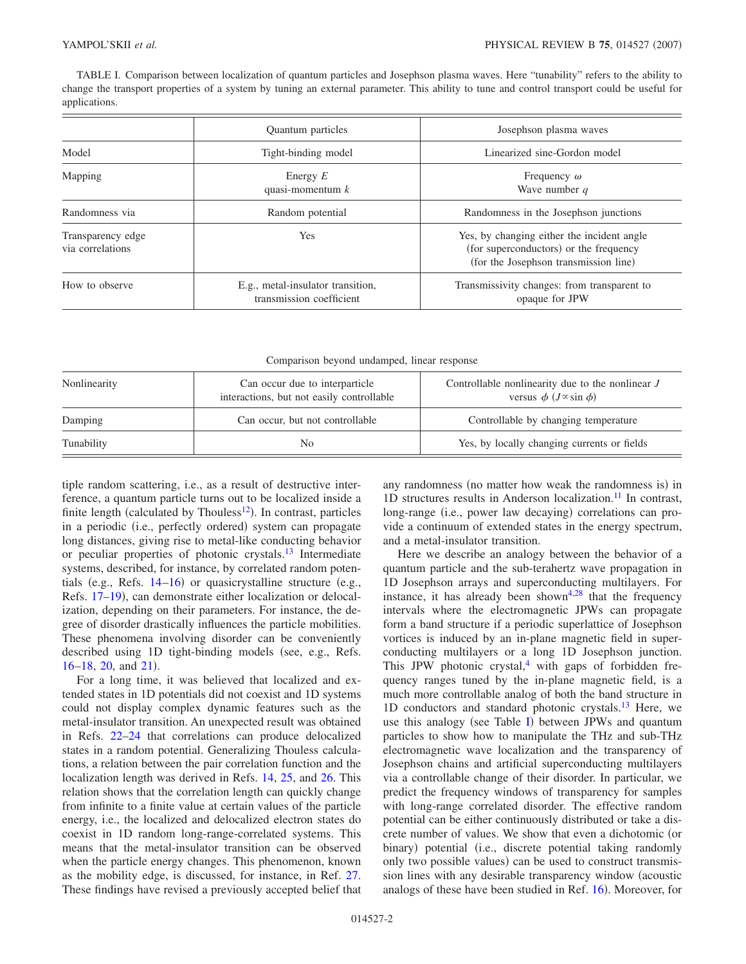<span id="page-1-0"></span>TABLE I. Comparison between localization of quantum particles and Josephson plasma waves. Here "tunability" refers to the ability to change the transport properties of a system by tuning an external parameter. This ability to tune and control transport could be useful for applications.

|                                       | Quantum particles                                             | Josephson plasma waves                                                                                                        |
|---------------------------------------|---------------------------------------------------------------|-------------------------------------------------------------------------------------------------------------------------------|
| Model                                 | Tight-binding model                                           | Linearized sine-Gordon model                                                                                                  |
| Mapping                               | Energy $E$<br>quasi-momentum $k$                              | Frequency $\omega$<br>Wave number $q$                                                                                         |
| Randomness via                        | Random potential                                              | Randomness in the Josephson junctions                                                                                         |
| Transparency edge<br>via correlations | <b>Yes</b>                                                    | Yes, by changing either the incident angle<br>(for superconductors) or the frequency<br>(for the Josephson transmission line) |
| How to observe                        | E.g., metal-insulator transition,<br>transmission coefficient | Transmissivity changes: from transparent to<br>opaque for JPW                                                                 |

| Nonlinearity | Can occur due to interparticle<br>interactions, but not easily controllable | Controllable nonlinearity due to the nonlinear $J$<br>versus $\phi$ ( <i>J</i> $\propto$ sin $\phi$ ) |
|--------------|-----------------------------------------------------------------------------|-------------------------------------------------------------------------------------------------------|
| Damping      | Can occur, but not controllable                                             | Controllable by changing temperature                                                                  |
| Tunability   | No.                                                                         | Yes, by locally changing currents or fields                                                           |

tiple random scattering, i.e., as a result of destructive interference, a quantum particle turns out to be localized inside a finite length (calculated by Thouless $^{12}$ ). In contrast, particles in a periodic (i.e., perfectly ordered) system can propagate long distances, giving rise to metal-like conducting behavior or peculiar properties of photonic crystals.<sup>13</sup> Intermediate systems, described, for instance, by correlated random potentials (e.g., Refs.  $14-16$  $14-16$ ) or quasicrystalline structure (e.g., Refs. 17-[19](#page-6-13)), can demonstrate either localization or delocalization, depending on their parameters. For instance, the degree of disorder drastically influences the particle mobilities. These phenomena involving disorder can be conveniently described using 1D tight-binding models (see, e.g., Refs.)  $16-18$  $16-18$ ,  $20$ , and  $21$ ).

For a long time, it was believed that localized and extended states in 1D potentials did not coexist and 1D systems could not display complex dynamic features such as the metal-insulator transition. An unexpected result was obtained in Refs. [22–](#page-6-17)[24](#page-6-18) that correlations can produce delocalized states in a random potential. Generalizing Thouless calculations, a relation between the pair correlation function and the localization length was derived in Refs. [14,](#page-6-10) [25,](#page-6-19) and [26.](#page-6-20) This relation shows that the correlation length can quickly change from infinite to a finite value at certain values of the particle energy, i.e., the localized and delocalized electron states do coexist in 1D random long-range-correlated systems. This means that the metal-insulator transition can be observed when the particle energy changes. This phenomenon, known as the mobility edge, is discussed, for instance, in Ref. [27.](#page-6-21) These findings have revised a previously accepted belief that

any randomness (no matter how weak the randomness is) in 1D structures results in Anderson localization. $11$  In contrast, long-range (i.e., power law decaying) correlations can provide a continuum of extended states in the energy spectrum, and a metal-insulator transition.

Here we describe an analogy between the behavior of a quantum particle and the sub-terahertz wave propagation in 1D Josephson arrays and superconducting multilayers. For instance, it has already been shown<sup>4,[28](#page-6-23)</sup> that the frequency intervals where the electromagnetic JPWs can propagate form a band structure if a periodic superlattice of Josephson vortices is induced by an in-plane magnetic field in superconducting multilayers or a long 1D Josephson junction. This JPW photonic crystal, $4$  with gaps of forbidden frequency ranges tuned by the in-plane magnetic field, is a much more controllable analog of both the band structure in 1D conductors and standard photonic crystals.<sup>13</sup> Here, we use this analogy (see Table [I](#page-1-0)) between JPWs and quantum particles to show how to manipulate the THz and sub-THz electromagnetic wave localization and the transparency of Josephson chains and artificial superconducting multilayers via a controllable change of their disorder. In particular, we predict the frequency windows of transparency for samples with long-range correlated disorder. The effective random potential can be either continuously distributed or take a discrete number of values. We show that even a dichotomic (or binary) potential (i.e., discrete potential taking randomly only two possible values) can be used to construct transmission lines with any desirable transparency window (acoustic analogs of these have been studied in Ref. [16](#page-6-11)). Moreover, for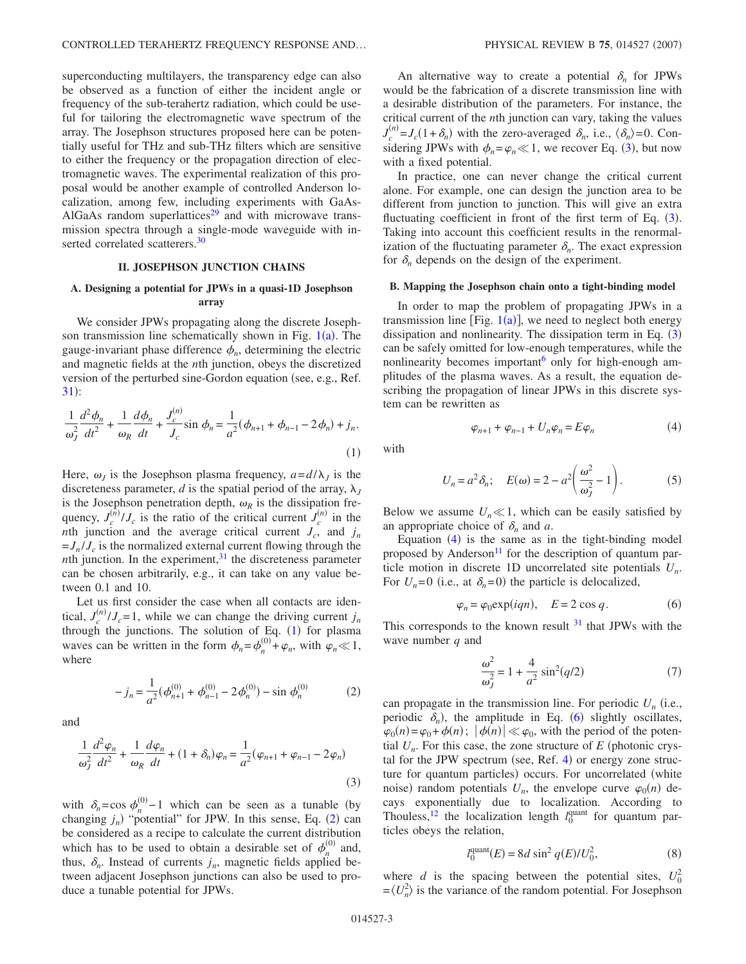superconducting multilayers, the transparency edge can also be observed as a function of either the incident angle or frequency of the sub-terahertz radiation, which could be useful for tailoring the electromagnetic wave spectrum of the array. The Josephson structures proposed here can be potentially useful for THz and sub-THz filters which are sensitive to either the frequency or the propagation direction of electromagnetic waves. The experimental realization of this proposal would be another example of controlled Anderson localization, among few, including experiments with GaAs-AlGaAs random superlattices $29$  and with microwave transmission spectra through a single-mode waveguide with inserted correlated scatterers.<sup>30</sup>

## **II. JOSEPHSON JUNCTION CHAINS**

# **A. Designing a potential for JPWs in a quasi-1D Josephson array**

We consider JPWs propagating along the discrete Josephson transmission line schematically shown in Fig.  $1(a)$  $1(a)$ . The gauge-invariant phase difference  $\phi_n$ , determining the electric and magnetic fields at the *n*th junction, obeys the discretized version of the perturbed sine-Gordon equation (see, e.g., Ref.  $31):$  $31):$ 

<span id="page-2-0"></span>
$$
\frac{1}{\omega_J^2} \frac{d^2 \phi_n}{dt^2} + \frac{1}{\omega_R} \frac{d \phi_n}{dt} + \frac{J_c^{(n)}}{J_c} \sin \phi_n = \frac{1}{a^2} (\phi_{n+1} + \phi_{n-1} - 2\phi_n) + j_n.
$$
\n(1)

Here,  $\omega_j$  is the Josephson plasma frequency,  $a = d/\lambda_j$  is the discreteness parameter, *d* is the spatial period of the array,  $\lambda$ <sub>*I*</sub> is the Josephson penetration depth,  $\omega_R$  is the dissipation frequency,  $J_c^{(\hat{n})}/J_c$  is the ratio of the critical current  $J_c^{(n)}$  in the *nth* junction and the average critical current  $J_c$ , and  $j_n$  $=J_n/J_c$  is the normalized external current flowing through the *nth* junction. In the experiment, $3<sup>1</sup>$  the discreteness parameter can be chosen arbitrarily, e.g., it can take on any value between 0.1 and 10.

Let us first consider the case when all contacts are identical,  $J_c^{(n)}/J_c = 1$ , while we can change the driving current  $j_n$ through the junctions. The solution of Eq.  $(1)$  $(1)$  $(1)$  for plasma waves can be written in the form  $\phi_n = \phi_n^{(0)} + \varphi_n$ , with  $\phi_n \ll 1$ , where

$$
-j_n = \frac{1}{a^2} (\phi_{n+1}^{(0)} + \phi_{n-1}^{(0)} - 2\phi_n^{(0)}) - \sin \phi_n^{(0)}
$$
 (2)

<span id="page-2-2"></span><span id="page-2-1"></span>and

$$
\frac{1}{\omega_J^2} \frac{d^2 \varphi_n}{dt^2} + \frac{1}{\omega_R} \frac{d\varphi_n}{dt} + (1 + \delta_n)\varphi_n = \frac{1}{a^2} (\varphi_{n+1} + \varphi_{n-1} - 2\varphi_n)
$$
\n(3)

with  $\delta_n = \cos \phi_n^{(0)} - 1$  which can be seen as a tunable (by changing  $j_n$ ) "potential" for JPW. In this sense, Eq. ([2](#page-2-1)) can be considered as a recipe to calculate the current distribution which has to be used to obtain a desirable set of  $\phi_n^{(0)}$  and, thus,  $\delta_n$ . Instead of currents  $j_n$ , magnetic fields applied between adjacent Josephson junctions can also be used to produce a tunable potential for JPWs.

An alternative way to create a potential  $\delta_n$  for JPWs would be the fabrication of a discrete transmission line with a desirable distribution of the parameters. For instance, the critical current of the *n*th junction can vary, taking the values  $J_c^{(n)} = J_c(1+\delta_n)$  with the zero-averaged  $\delta_n$ , i.e.,  $\langle \delta_n \rangle = 0$ . Considering JPWs with  $\phi_n = \varphi_n \ll 1$ , we recover Eq. ([3](#page-2-2)), but now with a fixed potential.

In practice, one can never change the critical current alone. For example, one can design the junction area to be different from junction to junction. This will give an extra fluctuating coefficient in front of the first term of Eq. ([3](#page-2-2)). Taking into account this coefficient results in the renormalization of the fluctuating parameter  $\delta_n$ . The exact expression for  $\delta_n$  depends on the design of the experiment.

## **B. Mapping the Josephson chain onto a tight-binding model**

In order to map the problem of propagating JPWs in a transmission line [Fig.  $1(a)$  $1(a)$ ], we need to neglect both energy dissipation and nonlinearity. The dissipation term in Eq.  $(3)$  $(3)$  $(3)$ can be safely omitted for low-enough temperatures, while the nonlinearity becomes important<sup>6</sup> only for high-enough amplitudes of the plasma waves. As a result, the equation describing the propagation of linear JPWs in this discrete system can be rewritten as

$$
\varphi_{n+1} + \varphi_{n-1} + U_n \varphi_n = E \varphi_n \tag{4}
$$

<span id="page-2-6"></span><span id="page-2-3"></span>with

$$
U_n = a^2 \delta_n; \quad E(\omega) = 2 - a^2 \left(\frac{\omega^2}{\omega_f^2} - 1\right).
$$
 (5)

Below we assume  $U_n \ll 1$ , which can be easily satisfied by an appropriate choice of  $\delta_n$  and *a*.

Equation  $(4)$  $(4)$  $(4)$  is the same as in the tight-binding model proposed by Anderson<sup>11</sup> for the description of quantum particle motion in discrete 1D uncorrelated site potentials *Un*. For  $U_n = 0$  (i.e., at  $\delta_n = 0$ ) the particle is delocalized,

$$
\varphi_n = \varphi_0 \exp(iqn), \quad E = 2 \cos q. \tag{6}
$$

<span id="page-2-4"></span>This corresponds to the known result  $31$  that JPWs with the wave number *q* and

$$
\frac{\omega^2}{\omega_J^2} = 1 + \frac{4}{a^2} \sin^2(q/2) \tag{7}
$$

can propagate in the transmission line. For periodic  $U_n$  (i.e., periodic  $\delta_n$ ), the amplitude in Eq. ([6](#page-2-4)) slightly oscillates,  $\varphi_0(n) = \varphi_0 + \varphi(n)$ ;  $|\varphi(n)| \ll \varphi_0$ , with the period of the potential  $U_n$ . For this case, the zone structure of  $E$  (photonic crys-tal for the JPW spectrum (see, Ref. [4](#page-6-22)) or energy zone structure for quantum particles) occurs. For uncorrelated (white noise) random potentials  $U_n$ , the envelope curve  $\varphi_0(n)$  decays exponentially due to localization. According to Thouless,<sup>12</sup> the localization length  $l_0^{\text{quant}}$  for quantum particles obeys the relation,

$$
l_0^{\text{quant}}(E) = 8d \sin^2 q(E)/U_0^2,
$$
 (8)

<span id="page-2-5"></span>where *d* is the spacing between the potential sites,  $U_0^2$  $=\langle U_n^2 \rangle$  is the variance of the random potential. For Josephson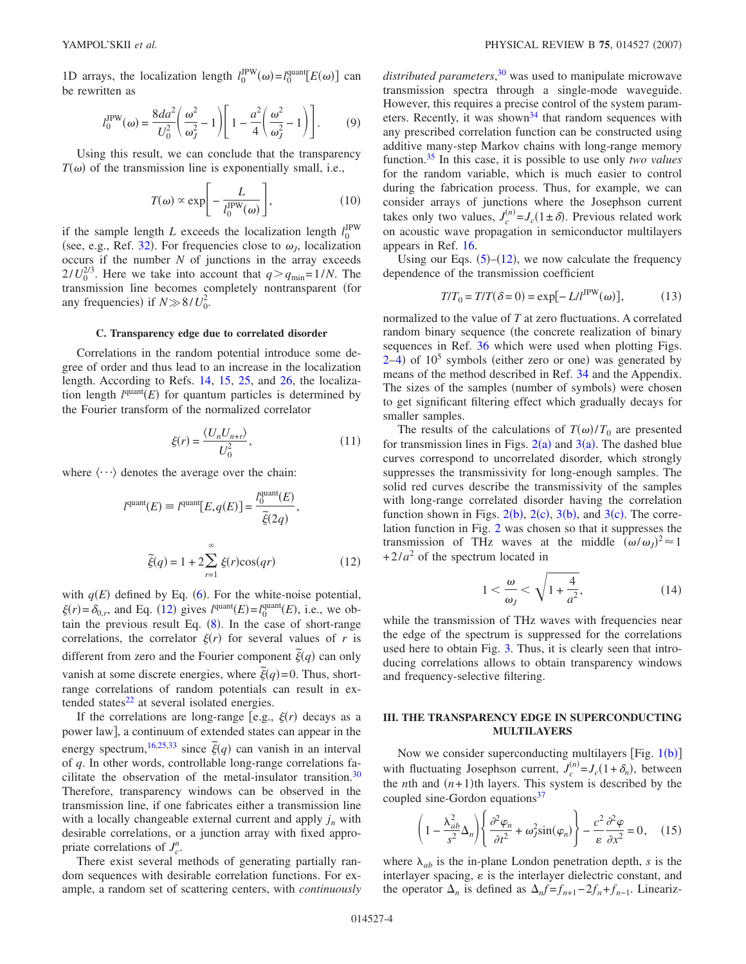1D arrays, the localization length  $l_0^{\text{IPW}}(\omega) = l_0^{\text{quant}}[E(\omega)]$  can be rewritten as

$$
l_0^{\text{IPW}}(\omega) = \frac{8da^2}{U_0^2} \left(\frac{\omega^2}{\omega_J^2} - 1\right) \left[1 - \frac{a^2}{4} \left(\frac{\omega^2}{\omega_J^2} - 1\right)\right].
$$
 (9)

Using this result, we can conclude that the transparency  $T(\omega)$  of the transmission line is exponentially small, i.e.,

$$
T(\omega) \propto \exp\left[-\frac{L}{l_0^{\text{IPW}}(\omega)}\right],\tag{10}
$$

if the sample length *L* exceeds the localization length  $l_0^{\text{IPW}}$ (see, e.g., Ref. [32](#page-6-27)). For frequencies close to  $\omega_J$ , localization occurs if the number *N* of junctions in the array exceeds  $2/U_0^{2/3}$ . Here we take into account that  $q > q_{\text{min}} = 1/N$ . The transmission line becomes completely nontransparent (for any frequencies) if  $N \gg 8/U_0^2$ .

#### **C. Transparency edge due to correlated disorder**

Correlations in the random potential introduce some degree of order and thus lead to an increase in the localization length. According to Refs. [14,](#page-6-10) [15,](#page-6-28) [25,](#page-6-19) and [26,](#page-6-20) the localization length  $l<sup>quant</sup>(E)$  for quantum particles is determined by the Fourier transform of the normalized correlator

$$
\xi(r) = \frac{\langle U_n U_{n+r} \rangle}{U_0^2},\tag{11}
$$

<span id="page-3-0"></span>where  $\langle \cdots \rangle$  denotes the average over the chain:

$$
l^{\text{quant}}(E) \equiv l^{\text{quant}}[E, q(E)] = \frac{l_0^{\text{quant}}(E)}{\tilde{\xi}(2q)},
$$
  

$$
\tilde{\xi}(q) = 1 + 2 \sum_{r=1}^{\infty} \xi(r) \cos(qr) \qquad (12)
$$

with  $q(E)$  defined by Eq. ([6](#page-2-4)). For the white-noise potential,  $\xi(r) = \delta_{0,r}$ , and Eq. ([12](#page-3-0)) gives  $l^{\text{quant}}(E) = l^{\text{quant}}_0(E)$ , i.e., we obtain the previous result Eq.  $(8)$  $(8)$  $(8)$ . In the case of short-range correlations, the correlator  $\xi(r)$  for several values of *r* is different from zero and the Fourier component  $\tilde{\xi}(q)$  can only vanish at some discrete energies, where  $\tilde{\xi}(q)$  = 0. Thus, shortrange correlations of random potentials can result in extended states $^{22}$  at several isolated energies.

If the correlations are long-range [e.g.,  $\xi(r)$  decays as a power law, a continuum of extended states can appear in the energy spectrum,<sup>16,[25,](#page-6-19)[33](#page-6-29)</sup> since  $\tilde{\xi}(q)$  can vanish in an interval of *q*. In other words, controllable long-range correlations facilitate the observation of the metal-insulator transition.<sup>30</sup> Therefore, transparency windows can be observed in the transmission line, if one fabricates either a transmission line with a locally changeable external current and apply  $j_n$  with desirable correlations, or a junction array with fixed appropriate correlations of  $J_c^n$ .

There exist several methods of generating partially random sequences with desirable correlation functions. For example, a random set of scattering centers, with *continuously*

*distributed parameters*, [30](#page-6-25) was used to manipulate microwave transmission spectra through a single-mode waveguide. However, this requires a precise control of the system parameters. Recently, it was shown<sup>34</sup> that random sequences with any prescribed correlation function can be constructed using additive many-step Markov chains with long-range memory function[.35](#page-6-31) In this case, it is possible to use only *two values* for the random variable, which is much easier to control during the fabrication process. Thus, for example, we can consider arrays of junctions where the Josephson current takes only two values,  $J_c^{(n)} = J_c(1 \pm \delta)$ . Previous related work on acoustic wave propagation in semiconductor multilayers appears in Ref. [16.](#page-6-11)

Using our Eqs.  $(5)$  $(5)$  $(5)$ – $(12)$  $(12)$  $(12)$ , we now calculate the frequency dependence of the transmission coefficient

$$
T/T_0 = T/T(\delta = 0) = \exp[-L/l^{\text{IPW}}(\omega)],\tag{13}
$$

normalized to the value of *T* at zero fluctuations. A correlated random binary sequence (the concrete realization of binary sequences in Ref. [36](#page-6-32) which were used when plotting Figs.  $2-4$  $2-4$ ) of  $10<sup>5</sup>$  symbols (either zero or one) was generated by means of the method described in Ref. [34](#page-6-30) and the Appendix. The sizes of the samples (number of symbols) were chosen to get significant filtering effect which gradually decays for smaller samples.

The results of the calculations of  $T(\omega)/T_0$  are presented for transmission lines in Figs.  $2(a)$  $2(a)$  and  $3(a)$  $3(a)$ . The dashed blue curves correspond to uncorrelated disorder, which strongly suppresses the transmissivity for long-enough samples. The solid red curves describe the transmissivity of the samples with long-range correlated disorder having the correlation function shown in Figs.  $2(b)$  $2(b)$ ,  $2(c)$ ,  $3(b)$  $3(b)$ , and  $3(c)$ . The correlation function in Fig. [2](#page-4-0) was chosen so that it suppresses the transmission of THz waves at the middle  $(\omega/\omega_J)^2 \approx 1$  $+2/a^2$  of the spectrum located in

$$
1 < \frac{\omega}{\omega_J} < \sqrt{1 + \frac{4}{a^2}},\tag{14}
$$

while the transmission of THz waves with frequencies near the edge of the spectrum is suppressed for the correlations used here to obtain Fig. [3.](#page-4-1) Thus, it is clearly seen that introducing correlations allows to obtain transparency windows and frequency-selective filtering.

# **III. THE TRANSPARENCY EDGE IN SUPERCONDUCTING MULTILAYERS**

Now we consider superconducting multilayers [Fig.  $1(b)$  $1(b)$ ] with fluctuating Josephson current,  $J_c^{(n)} = J_c(1 + \delta_n)$ , between the *n*th and  $(n+1)$ <sup>th</sup> layers. This system is described by the coupled sine-Gordon equations<sup>37</sup>

<span id="page-3-1"></span>
$$
\left(1 - \frac{\lambda_{ab}^2}{s^2} \Delta_n\right) \left\{ \frac{\partial^2 \varphi_n}{\partial t^2} + \omega_J^2 \sin(\varphi_n) \right\} - \frac{c^2}{\varepsilon} \frac{\partial^2 \varphi}{\partial x^2} = 0, \quad (15)
$$

where  $\lambda_{ab}$  is the in-plane London penetration depth, *s* is the interlayer spacing,  $\varepsilon$  is the interlayer dielectric constant, and the operator  $\Delta_n$  is defined as  $\Delta_n f = f_{n+1} - 2f_n + f_{n-1}$ . Lineariz-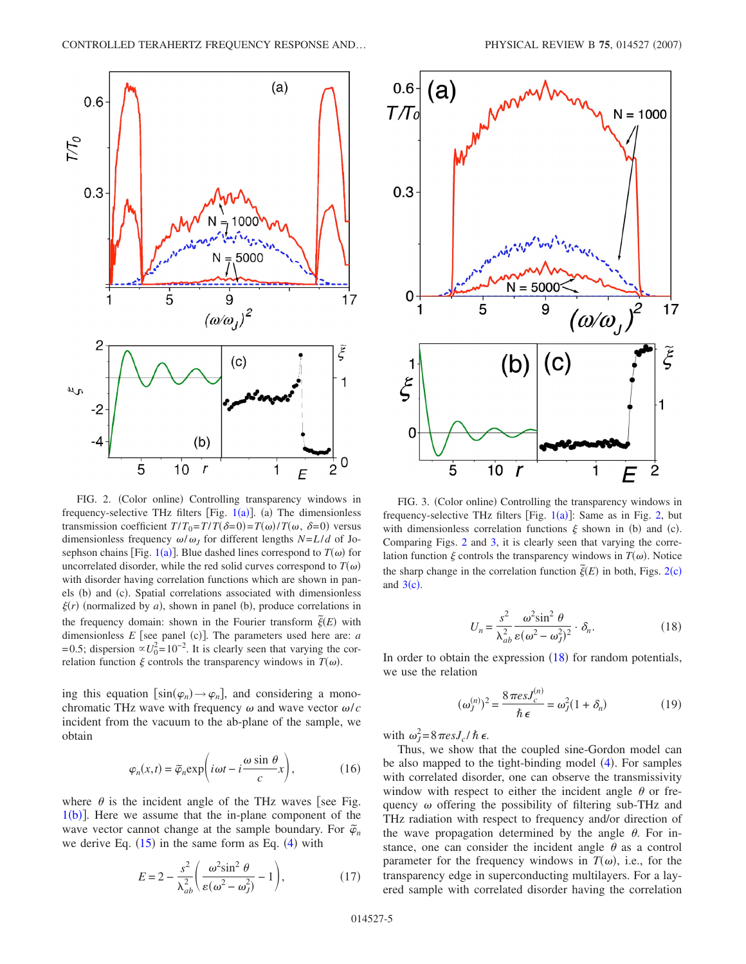<span id="page-4-0"></span>

FIG. 2. (Color online) Controlling transparency windows in frequency-selective THz filters [Fig.  $1(a)$  $1(a)$ ]. (a) The dimensionless transmission coefficient  $T/T_0 = T/T(\delta=0) = T(\omega)/T(\omega, \delta=0)$  versus dimensionless frequency  $\omega/\omega_I$  for different lengths *N*=*L*/*d* of Jo-sephson chains [Fig. [1](#page-0-0)(a)]. Blue dashed lines correspond to  $T(\omega)$  for uncorrelated disorder, while the red solid curves correspond to  $T(\omega)$ with disorder having correlation functions which are shown in panels (b) and (c). Spatial correlations associated with dimensionless  $\xi(r)$  (normalized by *a*), shown in panel (b), produce correlations in the frequency domain: shown in the Fourier transform  $\tilde{\xi}(E)$  with dimensionless  $E$  [see panel (c)]. The parameters used here are:  $a$ =0.5; dispersion  $\propto U_0^2$ =10<sup>-2</sup>. It is clearly seen that varying the correlation function  $\xi$  controls the transparency windows in  $T(\omega)$ .

ing this equation  $\left[\sin(\varphi_n) \rightarrow \varphi_n\right]$ , and considering a monochromatic THz wave with frequency  $\omega$  and wave vector  $\omega/c$ incident from the vacuum to the ab-plane of the sample, we obtain

$$
\varphi_n(x,t) = \tilde{\varphi}_n \exp\biggl(i\omega t - i\frac{\omega \sin \theta}{c}x\biggr),\tag{16}
$$

where  $\theta$  is the incident angle of the THz waves [see Fig.  $1(b)$  $1(b)$  $1(b)$ ]. Here we assume that the in-plane component of the wave vector cannot change at the sample boundary. For  $\tilde{\varphi}_n$ we derive Eq.  $(15)$  $(15)$  $(15)$  in the same form as Eq.  $(4)$  $(4)$  $(4)$  with

$$
E = 2 - \frac{s^2}{\lambda_{ab}^2} \left( \frac{\omega^2 \sin^2 \theta}{\varepsilon (\omega^2 - \omega_J^2)} - 1 \right),\tag{17}
$$

<span id="page-4-1"></span>

FIG. 3. (Color online) Controlling the transparency windows in frequency-selective THz filters [Fig.  $1(a)$  $1(a)$ ]: Same as in Fig. [2,](#page-4-0) but with dimensionless correlation functions  $\xi$  shown in (b) and (c). Comparing Figs. [2](#page-4-0) and [3,](#page-4-1) it is clearly seen that varying the correlation function  $\xi$  controls the transparency windows in  $T(\omega)$ . Notice the sharp change in the correlation function  $\tilde{\xi}(E)$  in both, Figs. [2](#page-4-0)(c) and  $3(c)$  $3(c)$ .

$$
U_n = \frac{s^2}{\lambda_{ab}^2} \frac{\omega^2 \sin^2 \theta}{\epsilon (\omega^2 - \omega_j^2)^2} \cdot \delta_n.
$$
 (18)

<span id="page-4-2"></span>In order to obtain the expression  $(18)$  $(18)$  $(18)$  for random potentials, we use the relation

$$
(\omega_J^{(n)})^2 = \frac{8\pi e s J_c^{(n)}}{\hbar \epsilon} = \omega_J^2 (1 + \delta_n)
$$
 (19)

with  $\omega_J^2 = 8 \pi \text{esJ}_c / \hbar \epsilon$ .

Thus, we show that the coupled sine-Gordon model can be also mapped to the tight-binding model ([4](#page-2-3)). For samples with correlated disorder, one can observe the transmissivity window with respect to either the incident angle  $\theta$  or frequency  $\omega$  offering the possibility of filtering sub-THz and THz radiation with respect to frequency and/or direction of the wave propagation determined by the angle  $\theta$ . For instance, one can consider the incident angle  $\theta$  as a control parameter for the frequency windows in  $T(\omega)$ , i.e., for the transparency edge in superconducting multilayers. For a layered sample with correlated disorder having the correlation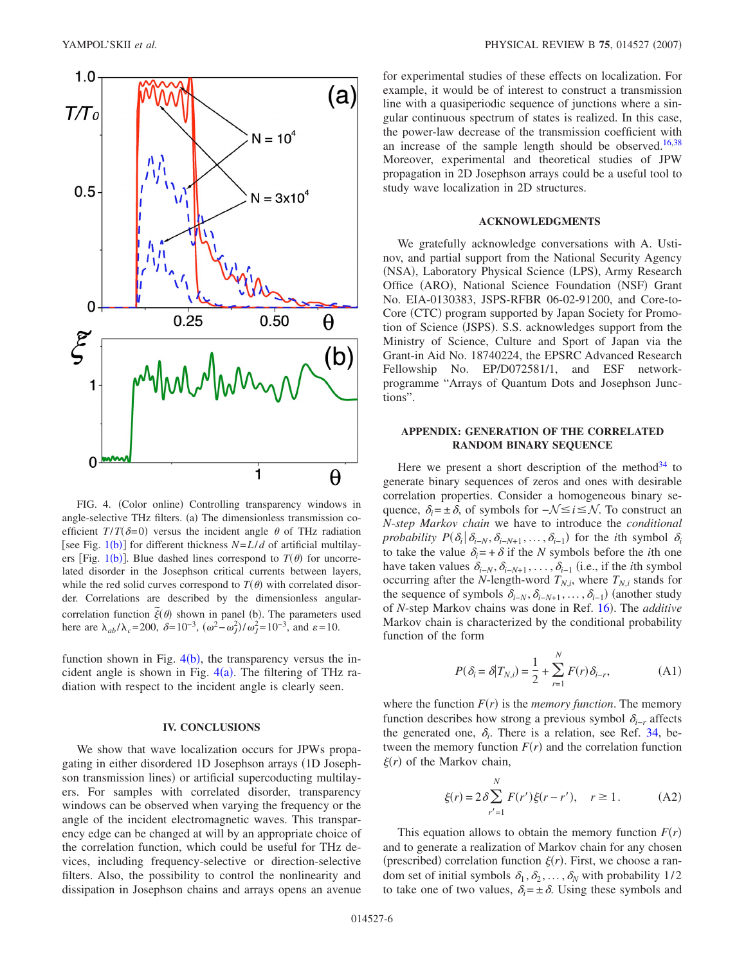<span id="page-5-0"></span>

FIG. 4. (Color online) Controlling transparency windows in angle-selective THz filters. (a) The dimensionless transmission coefficient  $T/T(\delta=0)$  versus the incident angle  $\theta$  of THz radiation [see Fig.  $1(b)$  $1(b)$ ] for different thickness  $N=L/d$  of artificial multilay-ers [Fig. [1](#page-0-0)(b)]. Blue dashed lines correspond to  $T(\theta)$  for uncorrelated disorder in the Josephson critical currents between layers, while the red solid curves correspond to  $T(\theta)$  with correlated disorder. Correlations are described by the dimensionless angularcorrelation function  $\tilde{\xi}(\theta)$  shown in panel (b). The parameters used here are  $\lambda_{ab}/\lambda_c = 200$ ,  $\delta = 10^{-3}$ ,  $(\omega^2 - \omega_f^2)/\omega_f^2 = 10^{-3}$ , and  $\varepsilon = 10$ .

function shown in Fig.  $4(b)$  $4(b)$ , the transparency versus the incident angle is shown in Fig.  $4(a)$  $4(a)$ . The filtering of THz radiation with respect to the incident angle is clearly seen.

### **IV. CONCLUSIONS**

We show that wave localization occurs for JPWs propagating in either disordered 1D Josephson arrays (1D Josephson transmission lines) or artificial supercoducting multilayers. For samples with correlated disorder, transparency windows can be observed when varying the frequency or the angle of the incident electromagnetic waves. This transparency edge can be changed at will by an appropriate choice of the correlation function, which could be useful for THz devices, including frequency-selective or direction-selective filters. Also, the possibility to control the nonlinearity and dissipation in Josephson chains and arrays opens an avenue

for experimental studies of these effects on localization. For example, it would be of interest to construct a transmission line with a quasiperiodic sequence of junctions where a singular continuous spectrum of states is realized. In this case, the power-law decrease of the transmission coefficient with an increase of the sample length should be observed.<sup>16[,38](#page-6-34)</sup> Moreover, experimental and theoretical studies of JPW propagation in 2D Josephson arrays could be a useful tool to study wave localization in 2D structures.

### **ACKNOWLEDGMENTS**

We gratefully acknowledge conversations with A. Ustinov, and partial support from the National Security Agency (NSA), Laboratory Physical Science (LPS), Army Research Office (ARO), National Science Foundation (NSF) Grant No. EIA-0130383, JSPS-RFBR 06-02-91200, and Core-to-Core (CTC) program supported by Japan Society for Promotion of Science (JSPS). S.S. acknowledges support from the Ministry of Science, Culture and Sport of Japan via the Grant-in Aid No. 18740224, the EPSRC Advanced Research Fellowship No. EP/D072581/1, and ESF networkprogramme "Arrays of Quantum Dots and Josephson Junctions".

# **APPENDIX: GENERATION OF THE CORRELATED RANDOM BINARY SEQUENCE**

Here we present a short description of the method<sup>34</sup> to generate binary sequences of zeros and ones with desirable correlation properties. Consider a homogeneous binary sequence,  $\delta_i = \pm \delta$ , of symbols for  $-\mathcal{N} \le i \le \mathcal{N}$ . To construct an *N*-*step Markov chain* we have to introduce the *conditional probability*  $P(\delta_i | \delta_{i-N}, \delta_{i-N+1}, \ldots, \delta_{i-1})$  for the *i*th symbol  $\delta_i$ to take the value  $\delta_i = +\delta$  if the *N* symbols before the *i*th one have taken values  $\delta_{i-N}$ ,  $\delta_{i-N+1}$ , ...,  $\delta_{i-1}$  (i.e., if the *i*th symbol occurring after the *N*-length-word  $T_{N,i}$ , where  $T_{N,i}$  stands for the sequence of symbols  $\delta_{i-N}, \delta_{i-N+1}, \ldots, \delta_{i-1}$  (another study of *N*-step Markov chains was done in Ref. [16](#page-6-11)). The *additive* Markov chain is characterized by the conditional probability function of the form

$$
P(\delta_i = \delta | T_{N,i}) = \frac{1}{2} + \sum_{r=1}^{N} F(r) \delta_{i-r},
$$
 (A1)

where the function  $F(r)$  is the *memory function*. The memory function describes how strong a previous symbol  $\delta_{i-r}$  affects the generated one,  $\delta_i$ . There is a relation, see Ref. [34,](#page-6-30) between the memory function  $F(r)$  and the correlation function  $\xi(r)$  of the Markov chain,

$$
\xi(r) = 2\delta \sum_{r'=1}^{N} F(r')\xi(r - r'), \quad r \ge 1.
$$
 (A2)

This equation allows to obtain the memory function  $F(r)$ and to generate a realization of Markov chain for any chosen (prescribed) correlation function  $\xi(r)$ . First, we choose a random set of initial symbols  $\delta_1, \delta_2, ..., \delta_N$  with probability 1/2 to take one of two values,  $\delta_i = \pm \delta$ . Using these symbols and